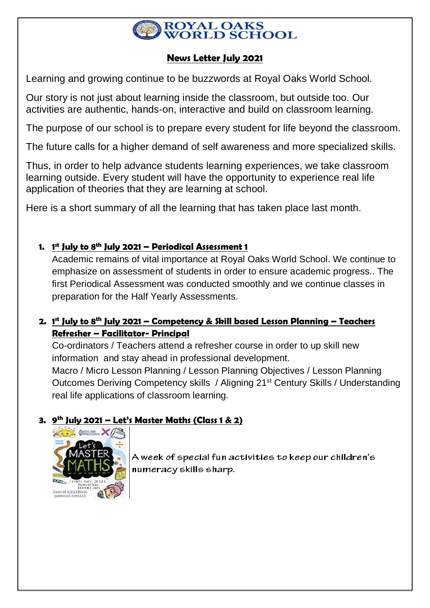

# **News Letter July 2021**

Learning and growing continue to be buzzwords at Royal Oaks World School.

Our story is not just about learning inside the classroom, but outside too. Our activities are authentic, hands-on, interactive and build on classroom learning.

The purpose of our school is to prepare every student for life beyond the classroom.

The future calls for a higher demand of self awareness and more specialized skills.

Thus, in order to help advance students learning experiences, we take classroom learning outside. Every student will have the opportunity to experience real life application of theories that they are learning at school.

Here is a short summary of all the learning that has taken place last month.

# **1. 1 st July to 8th July 2021 – Periodical Assessment 1**

Academic remains of vital importance at Royal Oaks World School. We continue to emphasize on assessment of students in order to ensure academic progress.. The first Periodical Assessment was conducted smoothly and we continue classes in preparation for the Half Yearly Assessments.

# **2. 1 st July to 8th July 2021 – Competency & Skill based Lesson Planning – Teachers Refresher – Facilitator- Principal**

Co-ordinators / Teachers attend a refresher course in order to up skill new information and stay ahead in professional development.

Macro / Micro Lesson Planning / Lesson Planning Objectives / Lesson Planning Outcomes Deriving Competency skills / Aligning 21st Century Skills / Understanding real life applications of classroom learning.

# **3. 9 th July 2021 – Let's Master Maths (Class 1 & 2)**



A week of special fun activities to keep our children's numeracy skills sharp.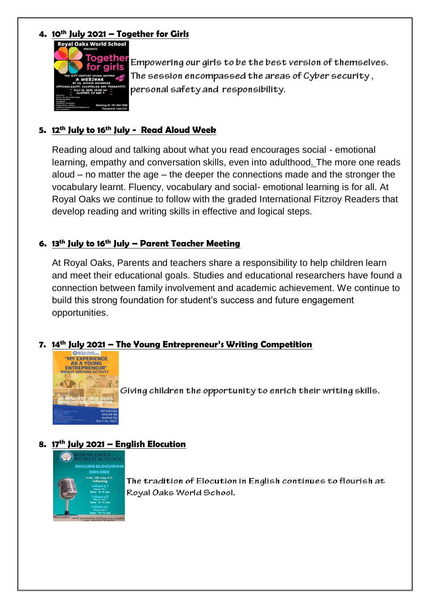## **4. 10th July 2021 – Together for Girls**



Empowering our girls to be the best version of themselves. The session encompassed the areas of Cyber security, personal safety and responsibility.

### **5. 12th July to 16th July - Read Aloud Week**

Reading aloud and talking about what you read encourages social - emotional learning, empathy and conversation skills, even into adulthood. The more one reads aloud – no matter the age – the deeper the connections made and the stronger the vocabulary learnt. Fluency, vocabulary and social- emotional learning is for all. At Royal Oaks we continue to follow with the graded International Fitzroy Readers that develop reading and writing skills in effective and logical steps.

## **6. 13th July to 16th July – Parent Teacher Meeting**

At Royal Oaks, Parents and teachers share a responsibility to help children learn and meet their educational goals. Studies and educational researchers have found a connection between family involvement and academic achievement. We continue to build this strong foundation for student's success and future engagement opportunities.

### **7. 14th July 2021 – The Young Entrepreneur's Writing Competition**



Giving children the opportunity to enrich their writing skills.

#### **8. 17th July 2021 – English Elocution**



The tradition of Elocution in English continues to flourish at Royal Oaks World School.